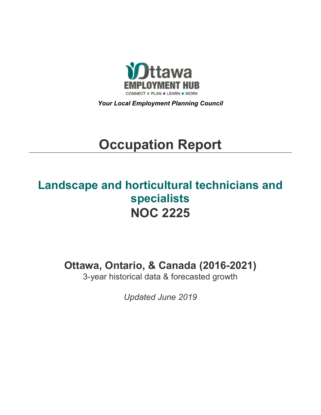

*Your Local Employment Planning Council*

# **Occupation Report**

## **Landscape and horticultural technicians and specialists NOC 2225**

**Ottawa, Ontario, & Canada (2016-2021)**

3-year historical data & forecasted growth

*Updated June 2019*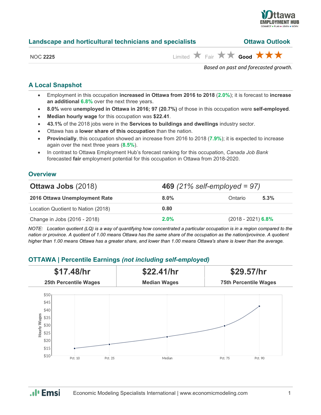

| Landscape and horticultural technicians and specialists |                                                                               | <b>Ottawa Outlook</b> |  |
|---------------------------------------------------------|-------------------------------------------------------------------------------|-----------------------|--|
| <b>NOC 2225</b>                                         | Limited $\bigstar$ Fair $\bigstar \bigstar$ Good $\bigstar \bigstar \bigstar$ |                       |  |
|                                                         | Based on past and forecasted growth.                                          |                       |  |

## **A Local Snapshot**

- Employment in this occupation **increased in Ottawa from 2016 to 2018** (**2.0%**); it is forecast to **increase an additional 6.8%** over the next three years.
- **8.0%** were **unemployed in Ottawa in 2016; 97 (20.7%)** of those in this occupation were **self-employed**.
- **Median hourly wage** for this occupation was **\$22.41**.
- **43.1%** of the 2018 jobs were in the **Services to buildings and dwellings** industry sector.
- Ottawa has a **lower share of this occupation** than the nation.
- **Provincially**, this occupation showed an increase from 2016 to 2018 (**7.9%**); it is expected to increase again over the next three years (**8.5%**).
- In contrast to Ottawa Employment Hub's forecast ranking for this occupation, *Canada Job Bank*  forecasted **fair** employment potential for this occupation in Ottawa from 2018-2020.

## **Overview**

| <b>Ottawa Jobs (2018)</b>          |         | <b>469</b> (21% self-employed = 97) |      |  |  |
|------------------------------------|---------|-------------------------------------|------|--|--|
| 2016 Ottawa Unemployment Rate      | $8.0\%$ | Ontario                             | 5.3% |  |  |
| Location Quotient to Nation (2018) | 0.80    |                                     |      |  |  |
| Change in Jobs (2016 - 2018)       | $2.0\%$ | $(2018 - 2021)$ 6.8%                |      |  |  |

*NOTE: Location quotient (LQ) is a way of quantifying how concentrated a particular occupation is in a region compared to the nation or province. A quotient of 1.00 means Ottawa has the same share of the occupation as the nation/province. A quotient higher than 1.00 means Ottawa has a greater share, and lower than 1.00 means Ottawa's share is lower than the average.*

## **OTTAWA | Percentile Earnings** *(not including self-employed)*

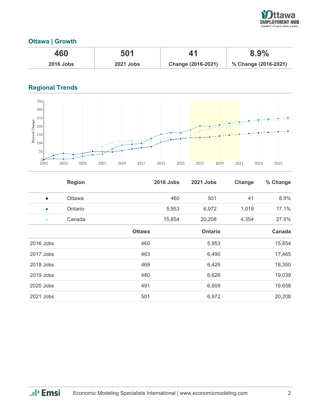

## **Ottawa | Growth**

| 460              | 501              |                    | 8.9%                 |
|------------------|------------------|--------------------|----------------------|
| <b>2016 Jobs</b> | <b>2021 Jobs</b> | Change (2016-2021) | % Change (2016-2021) |

## **Regional Trends**



|             | <b>Region</b> |               | <b>2016 Jobs</b> | 2021 Jobs      | Change | % Change |
|-------------|---------------|---------------|------------------|----------------|--------|----------|
| $\bullet$   | Ottawa        |               | 460              | 501            | 41     | 8.9%     |
| $\bullet$   | Ontario       |               | 5,953            | 6,972          | 1,019  | 17.1%    |
| $\bullet$   | Canada        |               | 15,854           | 20,208         | 4,354  | 27.5%    |
|             |               | <b>Ottawa</b> |                  | <b>Ontario</b> |        | Canada   |
| 2016 Jobs   |               | 460           |                  | 5,953          |        | 15,854   |
| 2017 Jobs   |               | 463           |                  | 6,490          |        | 17,465   |
| 2018 Jobs   |               | 469           |                  | 6,426          |        | 18,350   |
| $2019$ Jobs |               | 480           |                  | 6,626          |        | 19,039   |
| 2020 Jobs   |               | 491           |                  | 6,809          |        | 19,658   |
| 2021 Jobs   |               | 501           |                  | 6,972          |        | 20,208   |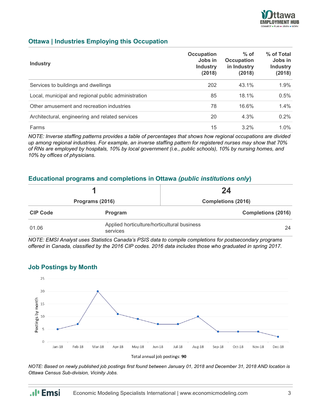

## **Ottawa | Industries Employing this Occupation**

| <b>Industry</b>                                     | Occupation<br>Jobs in<br><b>Industry</b><br>(2018) | $%$ of<br><b>Occupation</b><br>in Industry<br>(2018) | % of Total<br>Jobs in<br><b>Industry</b><br>(2018) |
|-----------------------------------------------------|----------------------------------------------------|------------------------------------------------------|----------------------------------------------------|
| Services to buildings and dwellings                 | 202                                                | 43.1%                                                | 1.9%                                               |
| Local, municipal and regional public administration | 85                                                 | 18.1%                                                | 0.5%                                               |
| Other amusement and recreation industries           | 78                                                 | 16.6%                                                | $1.4\%$                                            |
| Architectural, engineering and related services     | 20                                                 | 4.3%                                                 | $0.2\%$                                            |
| Farms                                               | 15                                                 | $3.2\%$                                              | $1.0\%$                                            |

*NOTE: Inverse staffing patterns provides a table of percentages that shows how regional occupations are divided up among regional industries. For example, an inverse staffing pattern for registered nurses may show that 70% of RNs are employed by hospitals, 10% by local government (i.e., public schools), 10% by nursing homes, and 10% by offices of physicians.*

#### **Educational programs and completions in Ottawa** *(public institutions only***)**

|                 |                                                         | 24                        |  |  |
|-----------------|---------------------------------------------------------|---------------------------|--|--|
| Programs (2016) |                                                         | <b>Completions (2016)</b> |  |  |
| <b>CIP Code</b> | <b>Program</b>                                          | <b>Completions (2016)</b> |  |  |
| 01.06           | Applied horticulture/horticultural business<br>services | 24                        |  |  |

*NOTE: EMSI Analyst uses Statistics Canada's PSIS data to compile completions for postsecondary programs offered in Canada, classified by the 2016 CIP codes. 2016 data includes those who graduated in spring 2017.*



**Job Postings by Month**

.**.**. Emsi

*NOTE: Based on newly published job postings first found between January 01, 2018 and December 31, 2018 AND location is Ottawa Census Sub-division, Vicinity Jobs.*